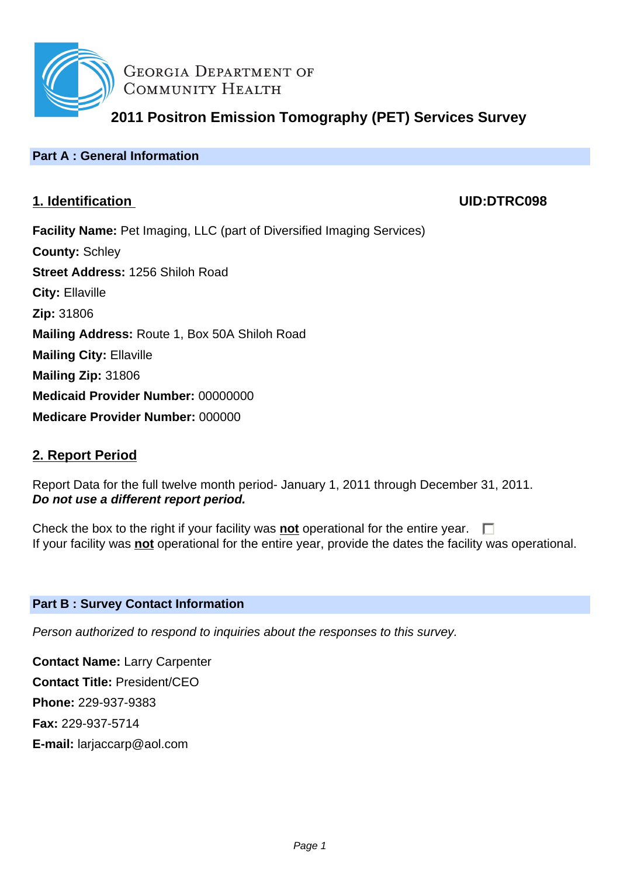

**GEORGIA DEPARTMENT OF** COMMUNITY HEALTH

**2011 Positron Emission Tomography (PET) Services Survey**

# **Part A : General Information**

# **1. Identification UID:DTRC098**

**Facility Name:** Pet Imaging, LLC (part of Diversified Imaging Services) **County:** Schley **Street Address:** 1256 Shiloh Road **City:** Ellaville **Zip:** 31806 **Mailing Address:** Route 1, Box 50A Shiloh Road **Mailing City:** Ellaville **Mailing Zip:** 31806 **Medicaid Provider Number:** 00000000 **Medicare Provider Number:** 000000

# **2. Report Period**

Report Data for the full twelve month period- January 1, 2011 through December 31, 2011. **Do not use a different report period.**

Check the box to the right if your facility was **not** operational for the entire year.  $\Box$ If your facility was **not** operational for the entire year, provide the dates the facility was operational.

## **Part B : Survey Contact Information**

Person authorized to respond to inquiries about the responses to this survey.

**Contact Name:** Larry Carpenter **Contact Title:** President/CEO **Phone:** 229-937-9383 **Fax:** 229-937-5714 **E-mail:** larjaccarp@aol.com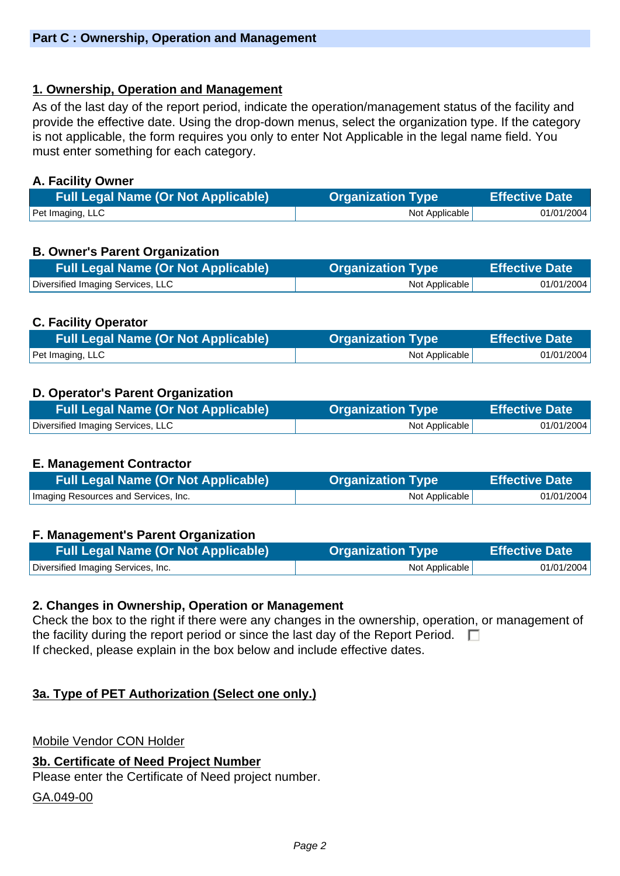## **1. Ownership, Operation and Management**

As of the last day of the report period, indicate the operation/management status of the facility and provide the effective date. Using the drop-down menus, select the organization type. If the category is not applicable, the form requires you only to enter Not Applicable in the legal name field. You must enter something for each category.

## **A. Facility Owner**

| <b>Full Legal Name (Or Not Applicable)</b> | Organization Type | <b>Effective Date</b> |
|--------------------------------------------|-------------------|-----------------------|
| Pet Imaging, LLC                           | Not Applicable    | 01/01/2004            |

## **B. Owner's Parent Organization**

| <b>Full Legal Name (Or Not Applicable)</b> | <b>Organization Type</b> | <b>Effective Date</b> |
|--------------------------------------------|--------------------------|-----------------------|
| Diversified Imaging Services, LLC          | Not Applicable           | 01/01/2004            |

## **C. Facility Operator**

| <b>Full Legal Name (Or Not Applicable)</b> | <b>Organization Type</b> | <b>Effective Date</b> |
|--------------------------------------------|--------------------------|-----------------------|
| Pet Imaging, LLC                           | Not Applicable           | 01/01/2004            |

## **D. Operator's Parent Organization**

| Full Legal Name (Or Not Applicable) | <b>Organization Type</b> | <b>Effective Date</b> |
|-------------------------------------|--------------------------|-----------------------|
| Diversified Imaging Services, LLC   | Not Applicable           | 01/01/2004            |

## **E. Management Contractor**

| <b>Full Legal Name (Or Not Applicable)</b> | <b>Organization Type</b> | Effective Date \ |
|--------------------------------------------|--------------------------|------------------|
| Imaging Resources and Services, Inc.       | Not Applicable           | 01/01/2004       |

## **F. Management's Parent Organization**

| <b>Full Legal Name (Or Not Applicable)</b> | <b>Organization Type</b> | <b>Effective Date</b> |
|--------------------------------------------|--------------------------|-----------------------|
| Diversified Imaging Services, Inc.         | Not Applicable           | 01/01/2004            |

## **2. Changes in Ownership, Operation or Management**

Check the box to the right if there were any changes in the ownership, operation, or management of the facility during the report period or since the last day of the Report Period.  $\Box$ If checked, please explain in the box below and include effective dates.

## **3a. Type of PET Authorization (Select one only.)**

Mobile Vendor CON Holder

## **3b. Certificate of Need Project Number**

Please enter the Certificate of Need project number.

GA.049-00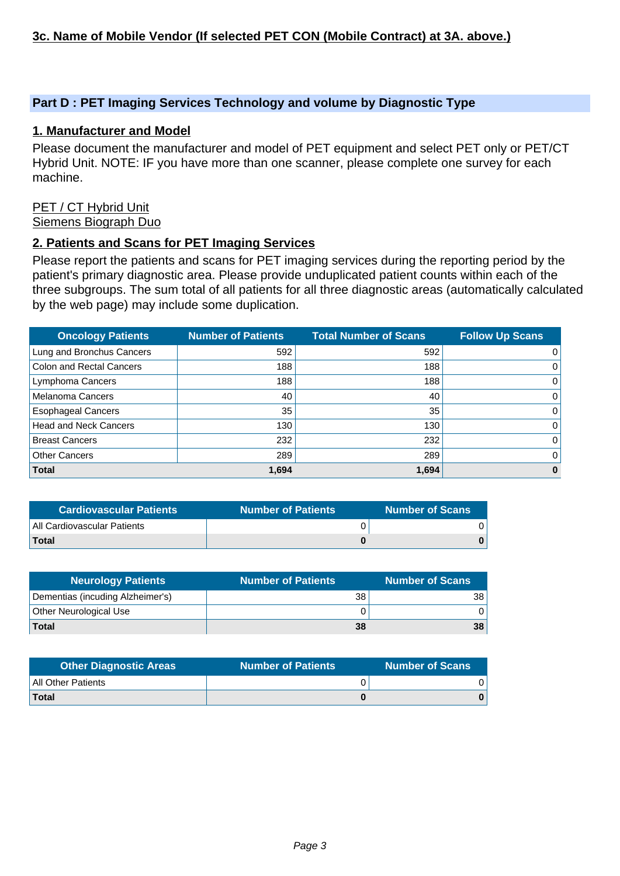## **Part D : PET Imaging Services Technology and volume by Diagnostic Type**

### **1. Manufacturer and Model**

Please document the manufacturer and model of PET equipment and select PET only or PET/CT Hybrid Unit. NOTE: IF you have more than one scanner, please complete one survey for each machine.

#### PET / CT Hybrid Unit Siemens Biograph Duo

#### **2. Patients and Scans for PET Imaging Services**

Please report the patients and scans for PET imaging services during the reporting period by the patient's primary diagnostic area. Please provide unduplicated patient counts within each of the three subgroups. The sum total of all patients for all three diagnostic areas (automatically calculated by the web page) may include some duplication.

| <b>Oncology Patients</b>        | <b>Number of Patients</b> | <b>Total Number of Scans</b> | <b>Follow Up Scans</b> |
|---------------------------------|---------------------------|------------------------------|------------------------|
| Lung and Bronchus Cancers       | 592                       | 592                          | $\Omega$               |
| <b>Colon and Rectal Cancers</b> | 188                       | 188                          | 0                      |
| Lymphoma Cancers                | 188                       | 188                          | $\Omega$               |
| <b>Melanoma Cancers</b>         | 40                        | 40                           | $\Omega$               |
| <b>Esophageal Cancers</b>       | 35                        | 35                           | 0                      |
| <b>Head and Neck Cancers</b>    | 130                       | 130                          | $\Omega$               |
| <b>Breast Cancers</b>           | 232                       | 232                          | $\Omega$               |
| <b>Other Cancers</b>            | 289                       | 289                          | 0                      |
| <b>Total</b>                    | 1,694                     | 1,694                        | $\bf{0}$               |

| ا Cardiovascular Patients   | <b>Number of Patients</b> | Number of Scans |
|-----------------------------|---------------------------|-----------------|
| All Cardiovascular Patients |                           |                 |
| <b>Total</b>                |                           |                 |

| <b>Neurology Patients</b>        | <b>Number of Patients</b> | Number of Scans」 |
|----------------------------------|---------------------------|------------------|
| Dementias (incuding Alzheimer's) | 38                        | 38.              |
| Other Neurological Use           |                           |                  |
| <b>Total</b>                     | 38                        | 38               |

| <b>Other Diagnostic Areas</b> | <b>Number of Patients</b> | <b>Number of Scans</b> |
|-------------------------------|---------------------------|------------------------|
| All Other Patients            |                           |                        |
| Total                         |                           |                        |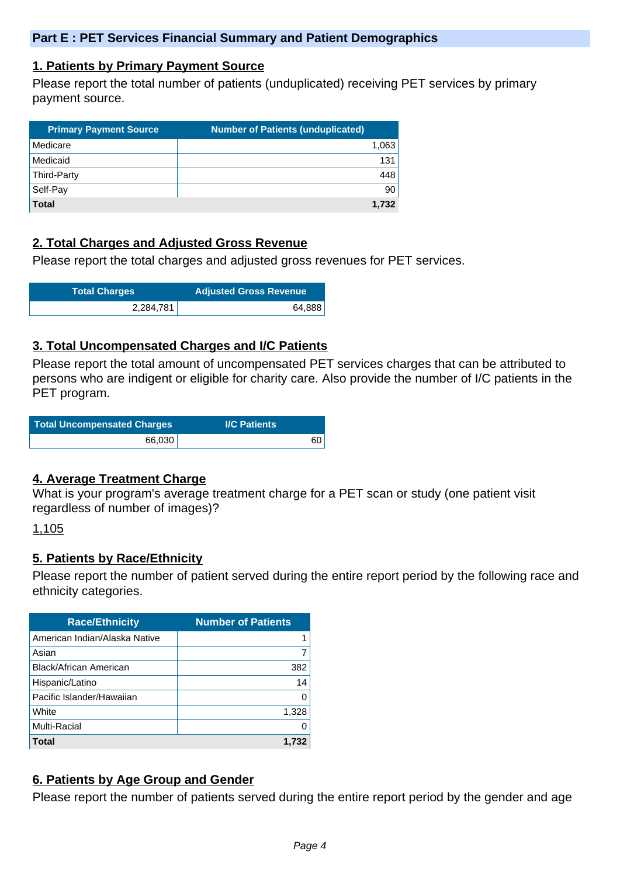### **1. Patients by Primary Payment Source**

Please report the total number of patients (unduplicated) receiving PET services by primary payment source.

| <b>Primary Payment Source</b> | <b>Number of Patients (unduplicated)</b> |
|-------------------------------|------------------------------------------|
| Medicare                      | 1,063                                    |
| Medicaid                      | 131                                      |
| Third-Party                   | 448                                      |
| Self-Pay                      | 90                                       |
| <b>Total</b>                  | 1.732                                    |

## **2. Total Charges and Adjusted Gross Revenue**

Please report the total charges and adjusted gross revenues for PET services.

| <b>Total Charges</b> | <b>Adjusted Gross Revenue</b> |
|----------------------|-------------------------------|
| 2,284,781            | 64,888                        |

## **3. Total Uncompensated Charges and I/C Patients**

Please report the total amount of uncompensated PET services charges that can be attributed to persons who are indigent or eligible for charity care. Also provide the number of I/C patients in the PET program.

| <b>Total Uncompensated Charges</b> | <b>I/C Patients</b> |
|------------------------------------|---------------------|
| 66,030                             | 60                  |

## **4. Average Treatment Charge**

What is your program's average treatment charge for a PET scan or study (one patient visit regardless of number of images)?

1,105

# **5. Patients by Race/Ethnicity**

Please report the number of patient served during the entire report period by the following race and ethnicity categories.

| <b>Race/Ethnicity</b>         | <b>Number of Patients</b> |
|-------------------------------|---------------------------|
| American Indian/Alaska Native |                           |
| Asian                         | 7                         |
| <b>Black/African American</b> | 382                       |
| Hispanic/Latino               | 14                        |
| Pacific Islander/Hawaiian     | O                         |
| White                         | 1,328                     |
| Multi-Racial                  | O                         |
| Total                         | 1.732                     |

# **6. Patients by Age Group and Gender**

Please report the number of patients served during the entire report period by the gender and age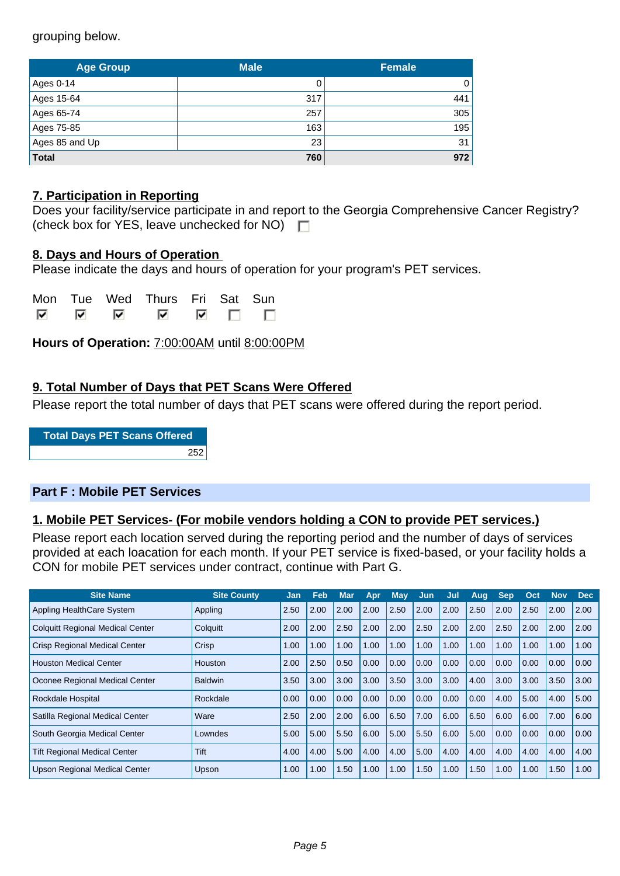grouping below.

| <b>Age Group</b> | <b>Male</b> | <b>Female</b> |
|------------------|-------------|---------------|
| Ages 0-14        |             | 0             |
| Ages 15-64       | 317         | 441           |
| Ages 65-74       | 257         | 305           |
| Ages 75-85       | 163         | 195           |
| Ages 85 and Up   | 23          | 31            |
| <b>Total</b>     | 760         | 972           |

## **7. Participation in Reporting**

|                                                    | Does your facility/service participate in and report to the Georgia Comprehensive Cancer Registry? |
|----------------------------------------------------|----------------------------------------------------------------------------------------------------|
| (check box for YES, leave unchecked for NO) $\Box$ |                                                                                                    |

## **8. Days and Hours of Operation**

Please indicate the days and hours of operation for your program's PET services.

|     |   | Mon Tue Wed Thurs Fri Sat Sun |  |                                                                                                                      |  |
|-----|---|-------------------------------|--|----------------------------------------------------------------------------------------------------------------------|--|
| ल ल | ᢊ |                               |  | $\begin{array}{ccccccccccccccccc} \hline \mathbf{v} & \mathbf{v} & \mathbf{v} & \mathbf{v} & \mathbf{v} \end{array}$ |  |

**Hours of Operation:** 7:00:00AM until 8:00:00PM

## **9. Total Number of Days that PET Scans Were Offered**

Please report the total number of days that PET scans were offered during the report period.

**Total Days PET Scans Offered** 252

## **Part F : Mobile PET Services**

## **1. Mobile PET Services- (For mobile vendors holding a CON to provide PET services.)**

Please report each location served during the reporting period and the number of days of services provided at each loacation for each month. If your PET service is fixed-based, or your facility holds a CON for mobile PET services under contract, continue with Part G.

| <b>Site Name</b>                        | <b>Site County</b> | Jan  | Feb  | <b>Mar</b> | Apr  | Mav  | Jun  | Jul  | Aug  | <b>Sep</b> | Oct  | Nov  | <b>Dec</b> |
|-----------------------------------------|--------------------|------|------|------------|------|------|------|------|------|------------|------|------|------------|
| Appling HealthCare System               | Appling            | 2.50 | 2.00 | 2.00       | 2.00 | 2.50 | 2.00 | 2.00 | 2.50 | 2.00       | 2.50 | 2.00 | 2.00       |
| <b>Colquitt Regional Medical Center</b> | Colquitt           | 2.00 | 2.00 | 2.50       | 2.00 | 2.00 | 2.50 | 2.00 | 2.00 | 2.50       | 2.00 | 2.00 | 2.00       |
| <b>Crisp Regional Medical Center</b>    | Crisp              | 1.00 | 1.00 | 1.00       | 1.00 | 1.00 | 1.00 | 1.00 | 1.00 | 1.00       | 1.00 | 1.00 | 1.00       |
| <b>Houston Medical Center</b>           | Houston            | 2.00 | 2.50 | 0.50       | 0.00 | 0.00 | 0.00 | 0.00 | 0.00 | 0.00       | 0.00 | 0.00 | 0.00       |
| Oconee Regional Medical Center          | <b>Baldwin</b>     | 3.50 | 3.00 | 3.00       | 3.00 | 3.50 | 3.00 | 3.00 | 4.00 | 3.00       | 3.00 | 3.50 | 3.00       |
| <b>Rockdale Hospital</b>                | Rockdale           | 0.00 | 0.00 | 0.00       | 0.00 | 0.00 | 0.00 | 0.00 | 0.00 | 4.00       | 5.00 | 4.00 | 5.00       |
| Satilla Regional Medical Center         | Ware               | 2.50 | 2.00 | 2.00       | 6.00 | 6.50 | 7.00 | 6.00 | 6.50 | 6.00       | 6.00 | 7.00 | 6.00       |
| South Georgia Medical Center            | Lowndes            | 5.00 | 5.00 | 5.50       | 6.00 | 5.00 | 5.50 | 6.00 | 5.00 | 0.00       | 0.00 | 0.00 | 0.00       |
| <b>Tift Regional Medical Center</b>     | Tift               | 4.00 | 4.00 | 5.00       | 4.00 | 4.00 | 5.00 | 4.00 | 4.00 | 4.00       | 4.00 | 4.00 | 4.00       |
| <b>Upson Regional Medical Center</b>    | Upson              | 1.00 | 1.00 | 1.50       | 1.00 | 1.00 | 1.50 | 1.00 | 1.50 | 1.00       | 1.00 | 1.50 | 1.00       |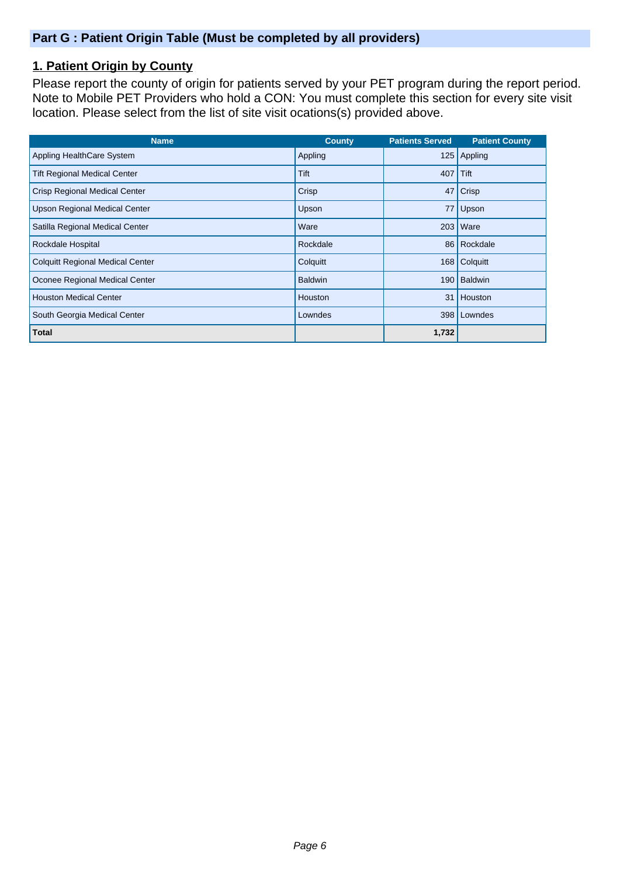## **Part G : Patient Origin Table (Must be completed by all providers)**

# **1. Patient Origin by County**

Please report the county of origin for patients served by your PET program during the report period. Note to Mobile PET Providers who hold a CON: You must complete this section for every site visit location. Please select from the list of site visit ocations(s) provided above.

| <b>Name</b>                             | <b>County</b>  | <b>Patients Served</b> | <b>Patient County</b> |
|-----------------------------------------|----------------|------------------------|-----------------------|
| Appling HealthCare System               | Appling        | 125                    | Appling               |
| <b>Tift Regional Medical Center</b>     | Tift           | 407                    | Tift                  |
| <b>Crisp Regional Medical Center</b>    | Crisp          | 47                     | Crisp                 |
| <b>Upson Regional Medical Center</b>    | Upson          | 77                     | Upson                 |
| Satilla Regional Medical Center         | Ware           | 203                    | <b>Ware</b>           |
| Rockdale Hospital                       | Rockdale       |                        | 86 Rockdale           |
| <b>Colquitt Regional Medical Center</b> | Colquitt       | 168                    | Colquitt              |
| Oconee Regional Medical Center          | <b>Baldwin</b> | 190                    | <b>Baldwin</b>        |
| <b>Houston Medical Center</b>           | <b>Houston</b> | 31                     | Houston               |
| South Georgia Medical Center            | Lowndes        | 398 <sup>1</sup>       | Lowndes               |
| <b>Total</b>                            |                | 1,732                  |                       |